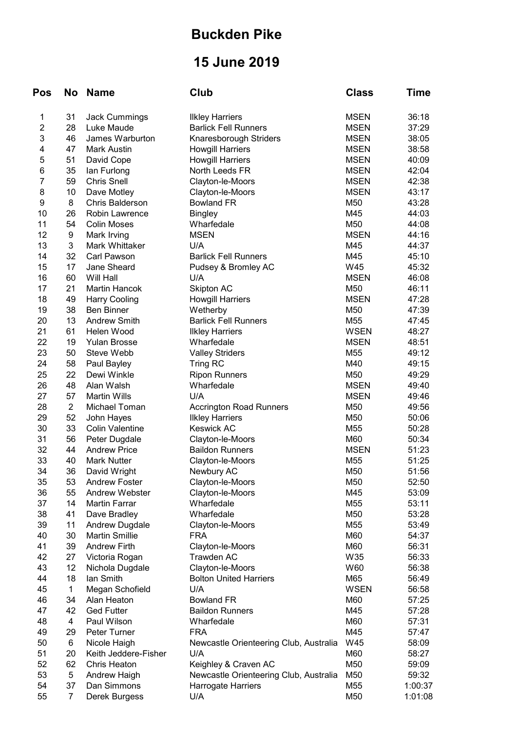## Buckden Pike

## 15 June 2019

| Pos            | No             | <b>Name</b>            | Club                                   | <b>Class</b>    | Time    |
|----------------|----------------|------------------------|----------------------------------------|-----------------|---------|
| 1              | 31             | <b>Jack Cummings</b>   | <b>Ilkley Harriers</b>                 | <b>MSEN</b>     | 36:18   |
| $\overline{2}$ | 28             | Luke Maude             | <b>Barlick Fell Runners</b>            | <b>MSEN</b>     | 37:29   |
| 3              | 46             | James Warburton        | Knaresborough Striders                 | <b>MSEN</b>     | 38:05   |
| 4              | 47             | <b>Mark Austin</b>     | <b>Howgill Harriers</b>                | <b>MSEN</b>     | 38:58   |
| 5              | 51             | David Cope             | <b>Howgill Harriers</b>                | <b>MSEN</b>     | 40:09   |
| 6              | 35             | lan Furlong            | North Leeds FR                         | <b>MSEN</b>     | 42:04   |
| $\overline{7}$ | 59             | <b>Chris Snell</b>     | Clayton-le-Moors                       | <b>MSEN</b>     | 42:38   |
| 8              | 10             | Dave Motley            | Clayton-le-Moors                       | <b>MSEN</b>     | 43:17   |
| 9              | 8              | <b>Chris Balderson</b> | <b>Bowland FR</b>                      | M50             | 43:28   |
| 10             | 26             | <b>Robin Lawrence</b>  | <b>Bingley</b>                         | M45             | 44:03   |
| 11             | 54             | <b>Colin Moses</b>     | Wharfedale                             | M50             | 44:08   |
| 12             | 9              | Mark Irving            | <b>MSEN</b>                            | <b>MSEN</b>     | 44:16   |
| 13             | 3              | Mark Whittaker         | U/A                                    | M45             | 44:37   |
| 14             | 32             | Carl Pawson            | <b>Barlick Fell Runners</b>            | M45             | 45:10   |
| 15             | 17             | Jane Sheard            | Pudsey & Bromley AC                    | W45             | 45:32   |
| 16             | 60             | Will Hall              | U/A                                    | <b>MSEN</b>     | 46:08   |
| 17             | 21             | <b>Martin Hancok</b>   | <b>Skipton AC</b>                      | M50             | 46:11   |
| 18             | 49             | <b>Harry Cooling</b>   | <b>Howgill Harriers</b>                | <b>MSEN</b>     | 47:28   |
| 19             | 38             | <b>Ben Binner</b>      |                                        | M50             | 47:39   |
|                |                | <b>Andrew Smith</b>    | Wetherby                               |                 |         |
| 20             | 13             |                        | <b>Barlick Fell Runners</b>            | M <sub>55</sub> | 47:45   |
| 21             | 61             | Helen Wood             | <b>Ilkley Harriers</b>                 | <b>WSEN</b>     | 48:27   |
| 22             | 19             | <b>Yulan Brosse</b>    | Wharfedale                             | <b>MSEN</b>     | 48:51   |
| 23             | 50             | Steve Webb             | <b>Valley Striders</b>                 | M <sub>55</sub> | 49:12   |
| 24             | 58             | Paul Bayley            | Tring RC                               | M40             | 49:15   |
| 25             | 22             | Dewi Winkle            | <b>Ripon Runners</b>                   | M50             | 49:29   |
| 26             | 48             | Alan Walsh             | Wharfedale                             | <b>MSEN</b>     | 49:40   |
| 27             | 57             | <b>Martin Wills</b>    | U/A                                    | <b>MSEN</b>     | 49:46   |
| 28             | $\overline{2}$ | Michael Toman          | <b>Accrington Road Runners</b>         | M50             | 49:56   |
| 29             | 52             | John Hayes             | <b>Ilkley Harriers</b>                 | M50             | 50:06   |
| 30             | 33             | <b>Colin Valentine</b> | <b>Keswick AC</b>                      | M55             | 50:28   |
| 31             | 56             | Peter Dugdale          | Clayton-le-Moors                       | M60             | 50:34   |
| 32             | 44             | <b>Andrew Price</b>    | <b>Baildon Runners</b>                 | <b>MSEN</b>     | 51:23   |
| 33             | 40             | <b>Mark Nutter</b>     | Clayton-le-Moors                       | M55             | 51:25   |
| 34             | 36             | David Wright           | Newbury AC                             | M50             | 51:56   |
| 35             | 53             | <b>Andrew Foster</b>   | Clayton-le-Moors                       | M50             | 52:50   |
| 36             | 55             | Andrew Webster         | Clayton-le-Moors                       | M45             | 53:09   |
| 37             | 14             | <b>Martin Farrar</b>   | Wharfedale                             | M <sub>55</sub> | 53:11   |
| 38             | 41             | Dave Bradley           | Wharfedale                             | M50             | 53:28   |
| 39             | 11             | <b>Andrew Dugdale</b>  | Clayton-le-Moors                       | M55             | 53:49   |
| 40             | 30             | <b>Martin Smillie</b>  | <b>FRA</b>                             | M60             | 54:37   |
| 41             | 39             | <b>Andrew Firth</b>    | Clayton-le-Moors                       | M60             | 56:31   |
| 42             | 27             | Victoria Rogan         | <b>Trawden AC</b>                      | W35             | 56:33   |
| 43             | 12             | Nichola Dugdale        | Clayton-le-Moors                       | W60             | 56:38   |
| 44             | 18             | lan Smith              | <b>Bolton United Harriers</b>          | M65             | 56:49   |
| 45             | 1              | Megan Schofield        | U/A                                    | <b>WSEN</b>     | 56:58   |
| 46             | 34             | Alan Heaton            | <b>Bowland FR</b>                      | M60             | 57:25   |
| 47             | 42             | <b>Ged Futter</b>      | <b>Baildon Runners</b>                 | M45             | 57:28   |
| 48             | 4              | Paul Wilson            | Wharfedale                             | M60             | 57:31   |
| 49             | 29             | Peter Turner           | <b>FRA</b>                             | M45             | 57:47   |
|                |                |                        |                                        |                 |         |
| 50             | 6              | Nicole Haigh           | Newcastle Orienteering Club, Australia | W45             | 58:09   |
| 51             | 20             | Keith Jeddere-Fisher   | U/A                                    | M60             | 58:27   |
| 52             | 62             | Chris Heaton           | Keighley & Craven AC                   | M50             | 59:09   |
| 53             | 5              | Andrew Haigh           | Newcastle Orienteering Club, Australia | M50             | 59:32   |
| 54             | 37             | Dan Simmons            | Harrogate Harriers                     | M55             | 1:00:37 |
| 55             | 7              | Derek Burgess          | U/A                                    | M50             | 1:01:08 |